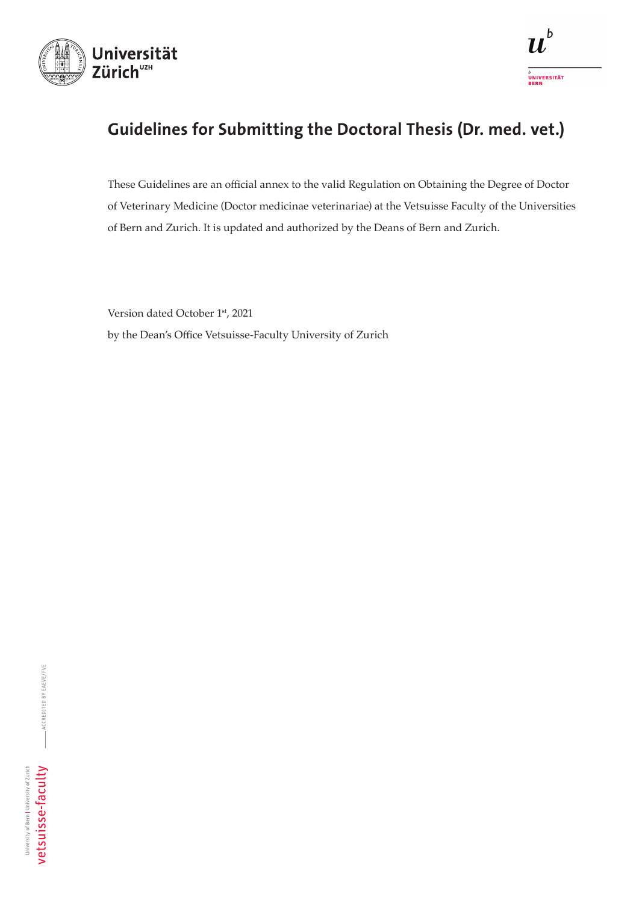

# Guidelines for Submitting the Doctoral Thesis (Dr. med. vet.)

These Guidelines are an official annex to the valid Regulation on Obtaining the Degree of Doctor of Veterinary Medicine (Doctor medicinae veterinariae) at the Vetsuisse Faculty of the Universities of Bern and Zurich. It is updated and authorized by the Deans of Bern and Zurich.

Version dated October 1st, 2021 by the Dean's Office Vetsuisse-Faculty University of Zurich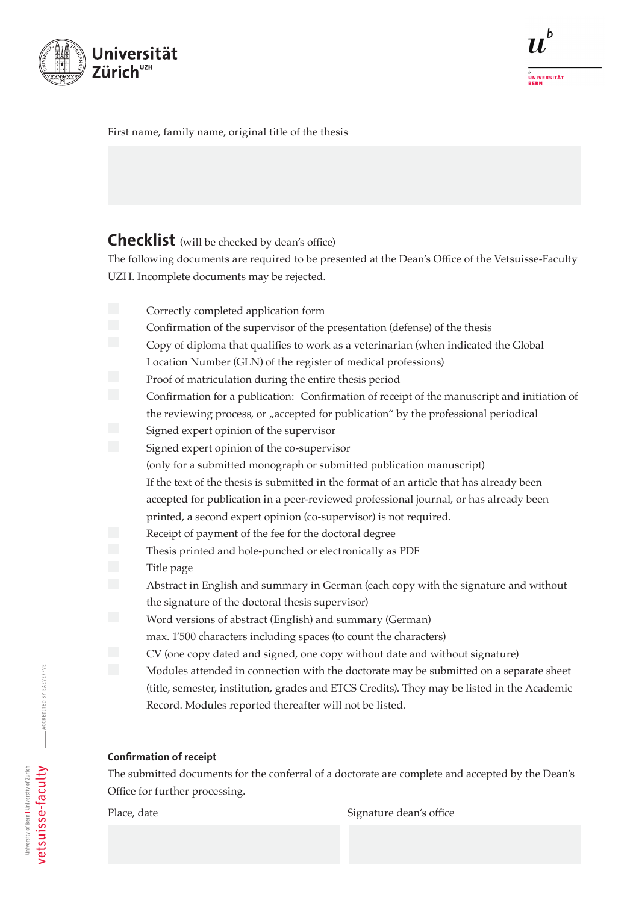

## First name, family name, original title of the thesis

# Checklist (will be checked by dean's office)

The following documents are required to be presented at the Dean's Office of the Vetsuisse-Faculty UZH. Incomplete documents may be rejected.

- Correctly completed application form
- Confirmation of the supervisor of the presentation (defense) of the thesis
- Copy of diploma that qualifies to work as a veterinarian (when indicated the Global
	- Location Number (GLN) of the register of medical professions)
- Proof of matriculation during the entire thesis period
- 5. Confirmation for a publication: Confirmation of receipt of the manuscript and initiation of the reviewing process, or "accepted for publication" by the professional periodical
- Signed expert opinion of the supervisor
- Signed expert opinion of the co-supervisor
	- (only for a submitted monograph or submitted publication manuscript)
	- If the text of the thesis is submitted in the format of an article that has already been accepted for publication in a peer-reviewed professional journal, or has already been
	- printed, a second expert opinion (co-supervisor) is not required.
- Receipt of payment of the fee for the doctoral degree
- Thesis printed and hole-punched or electronically as PDF
- Title page
- Abstract in English and summary in German (each copy with the signature and without the signature of the doctoral thesis supervisor)
- Word versions of abstract (English) and summary (German)
- max. 1'500 characters including spaces (to count the characters)
- CV (one copy dated and signed, one copy without date and without signature)
	- Modules attended in connection with the doctorate may be submitted on a separate sheet (title, semester, institution, grades and ETCS Credits). They may be listed in the Academic Record. Modules reported thereafter will not be listed.

# Confirmation of receipt

The submitted documents for the conferral of a doctorate are complete and accepted by the Dean's Office for further processing.

Place, date Signature dean's office

**ACCREDITED BY EAEVE/FVE**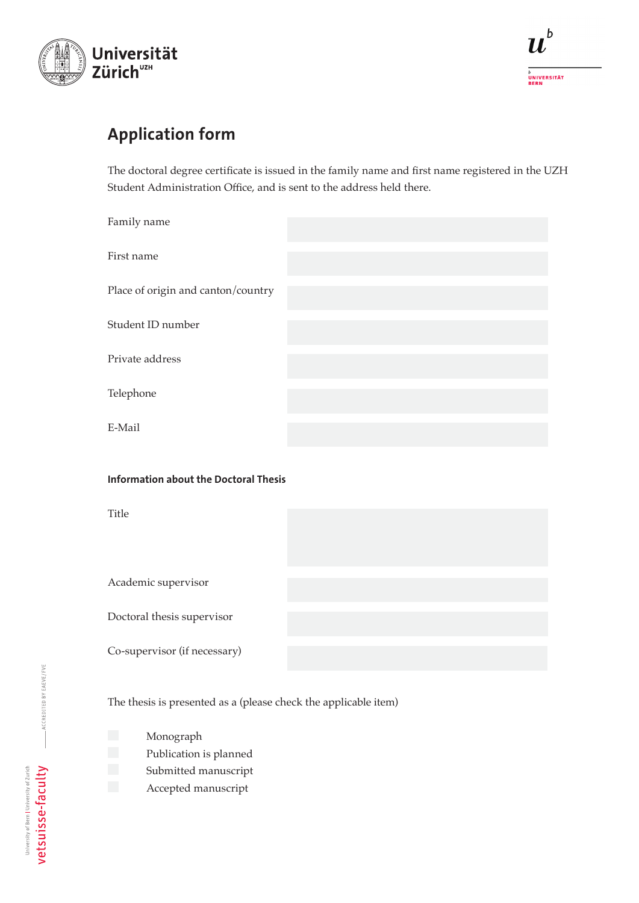

# Application form

The doctoral degree certificate is issued in the family name and first name registered in the UZH Student Administration Office, and is sent to the address held there.

| Family name                        |  |
|------------------------------------|--|
| First name                         |  |
| Place of origin and canton/country |  |
| Student ID number                  |  |
| Private address                    |  |
| Telephone                          |  |
| E-Mail                             |  |

### Information about the Doctoral Thesis

Title

Academic supervisor

Doctoral thesis supervisor

Co-supervisor (if necessary)

The thesis is presented as a (please check the applicable item)

- **Monograph** 
	- Publication is planned
	- Submitted manuscript
	- Accepted manuscript

ACCREDITED BY EAEVE/FVE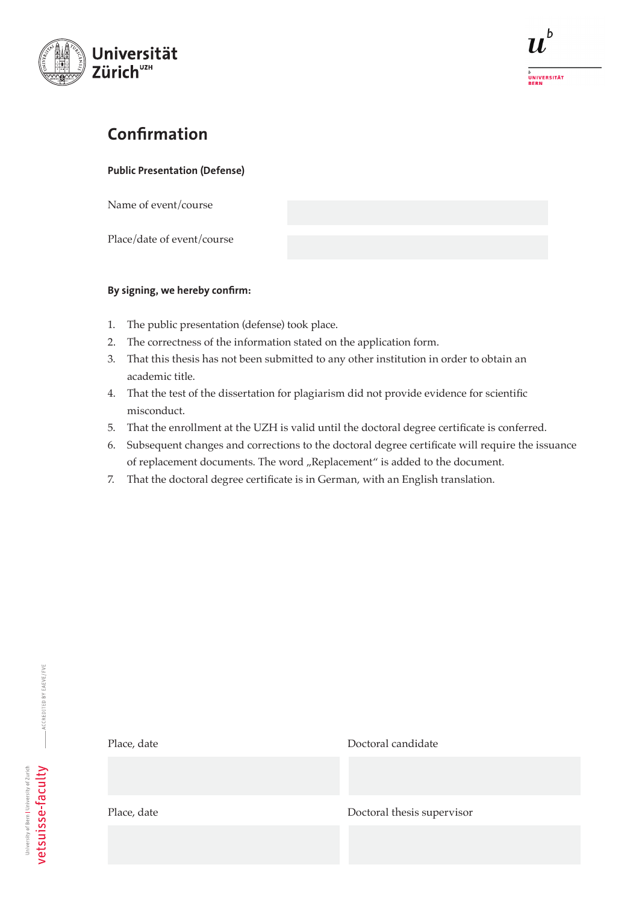

# Confirmation

Public Presentation (Defense)

Name of event/course

Place/date of event/course

# By signing, we hereby confirm:

- 1. The public presentation (defense) took place.
- 2. The correctness of the information stated on the application form.

Place, date Doctoral candidate

- 3. That this thesis has not been submitted to any other institution in order to obtain an academic title.
- 4. That the test of the dissertation for plagiarism did not provide evidence for scientific misconduct.
- 5. That the enrollment at the UZH is valid until the doctoral degree certificate is conferred.
- 6. Subsequent changes and corrections to the doctoral degree certificate will require the issuance of replacement documents. The word "Replacement" is added to the document.
- 7. That the doctoral degree certificate is in German, with an English translation.

Place, date Doctoral thesis supervisor